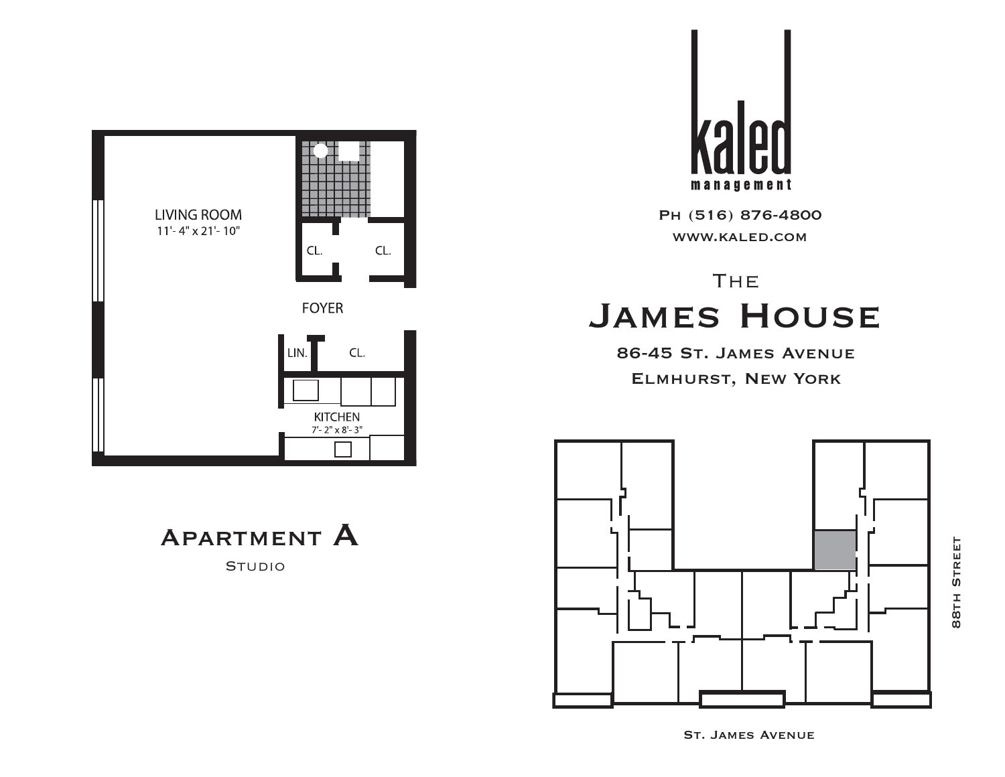

APARTMENT A

**STUDIO** 



Ph (516) 876-4800 www.kaled.com

# **THE** James House

86-45 St. James Avenue Elmhurst, New York



**BBTH STREET** 88th Street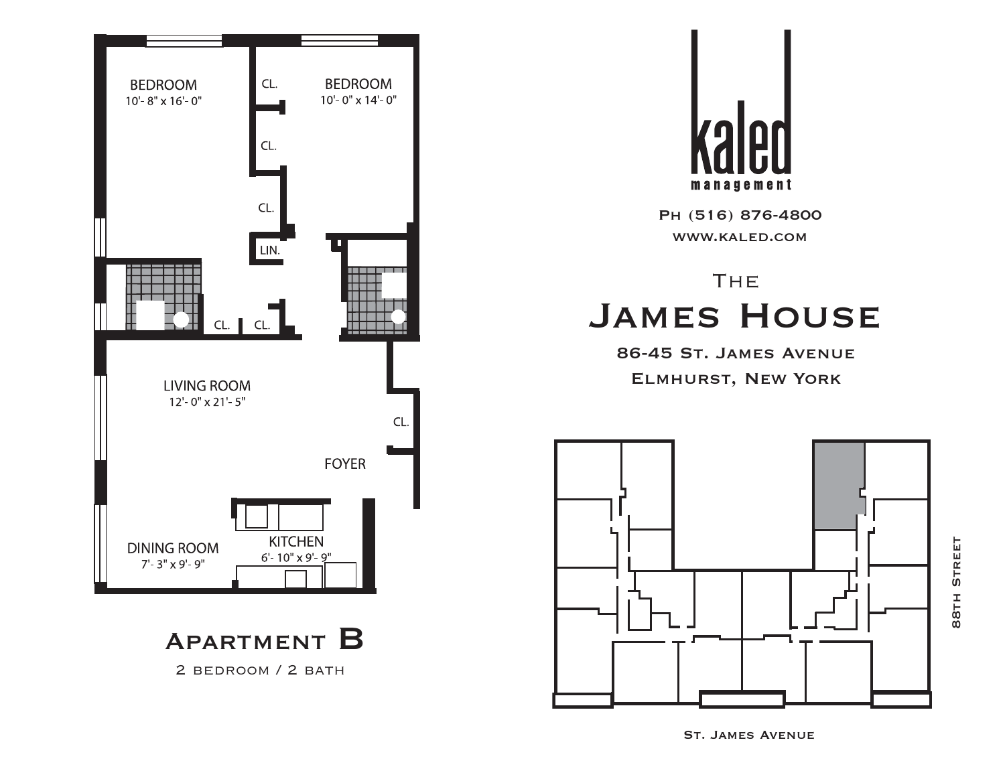

2 bedroom / 2 bath



Ph (516) 876-4800 www.kaled.com

# **THE** James House

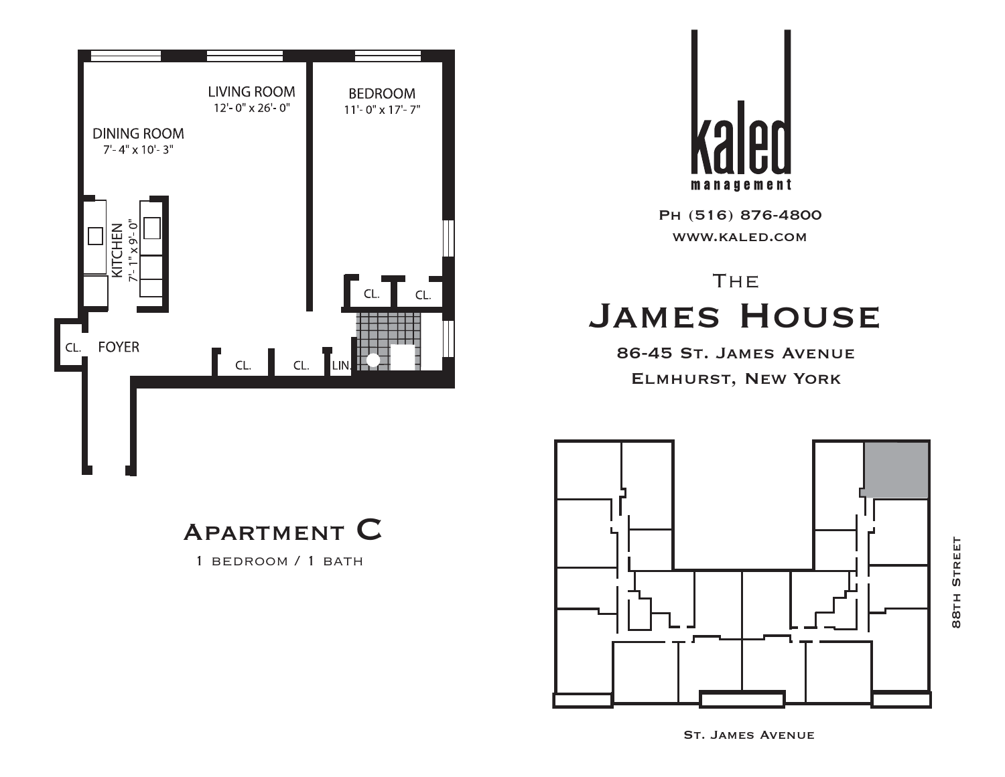



# **THE** James House

86-45 St. James Avenue Elmhurst, New York



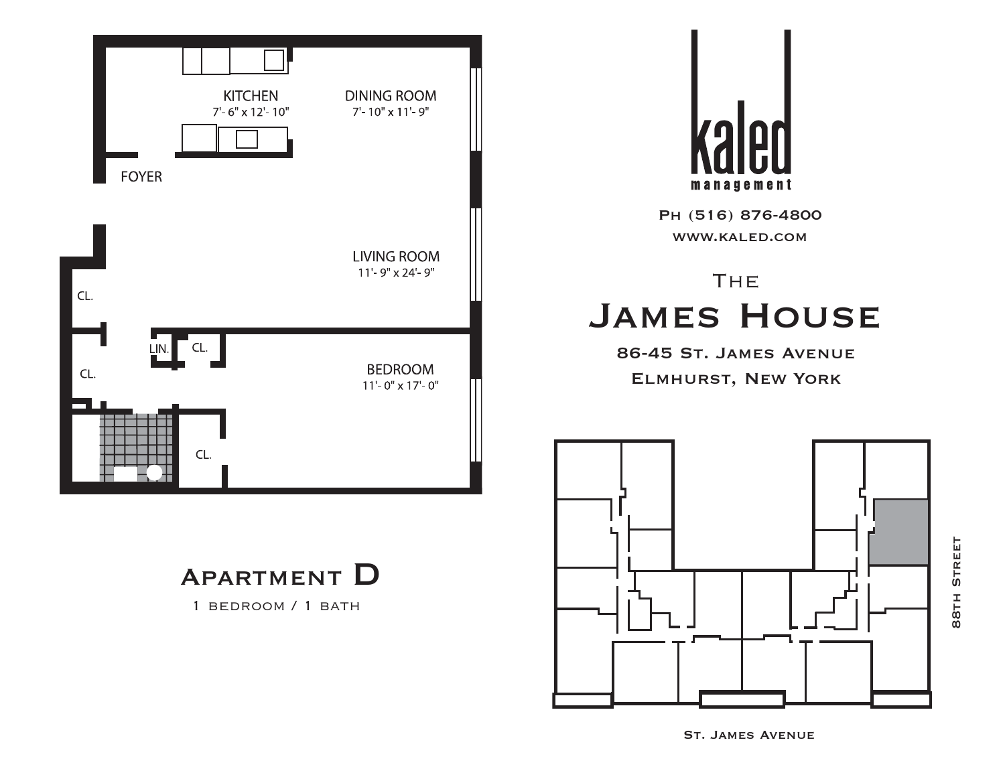



# **THE** James House

86-45 St. James Avenue Elmhurst, New York



Apartment D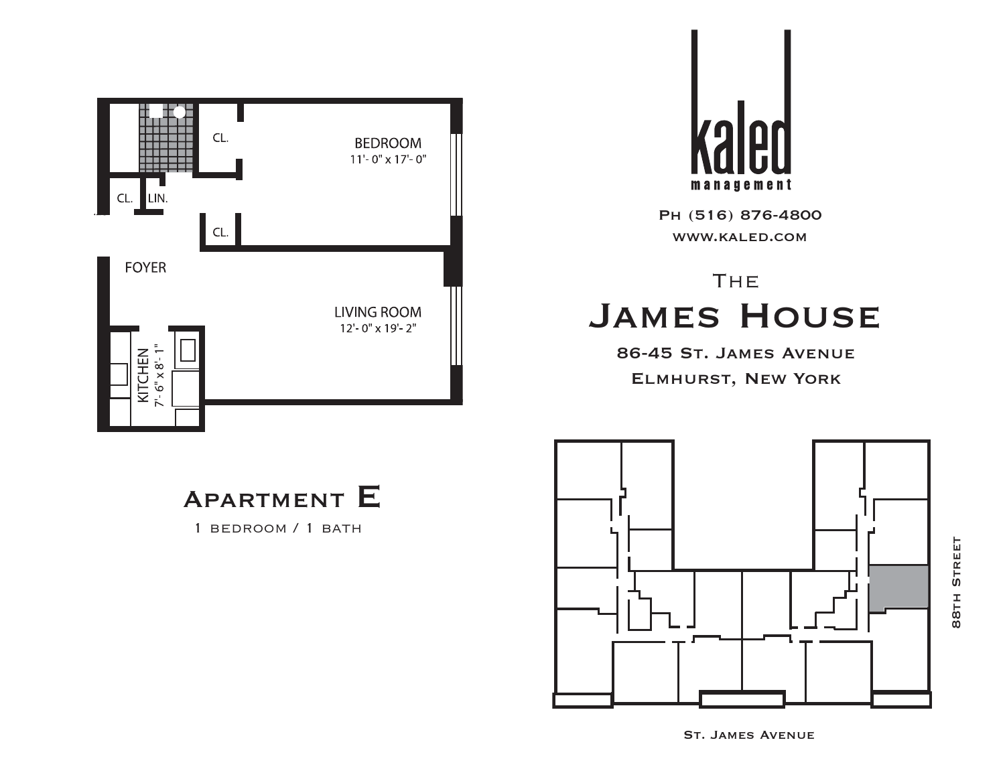



# **THE** James House

86-45 St. James Avenue Elmhurst, New York



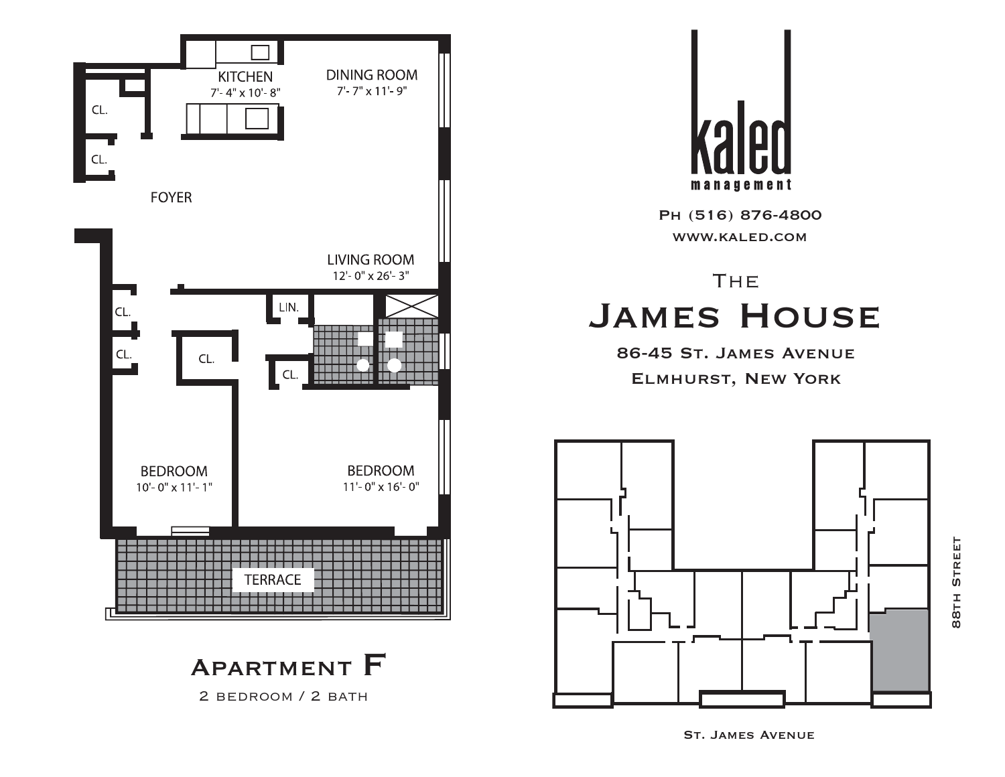



2 BEDROOM / 2 BATH



Ph (516) 876-4800 www.kaled.com

# **THE** James House

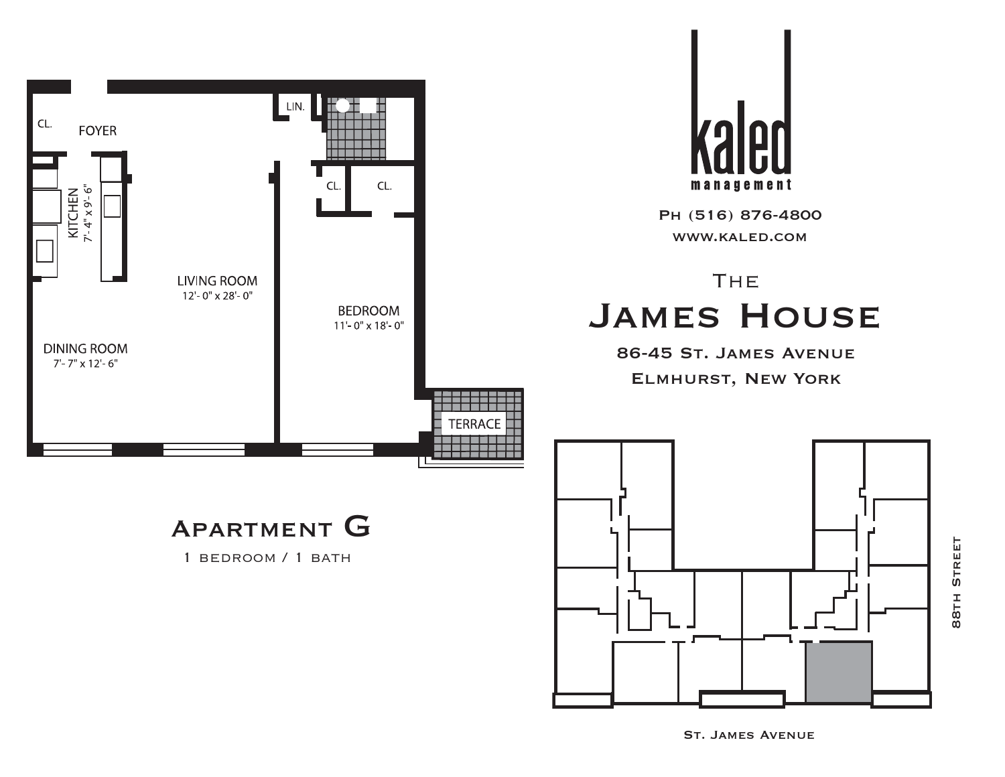

**STREET** 88th Street88TH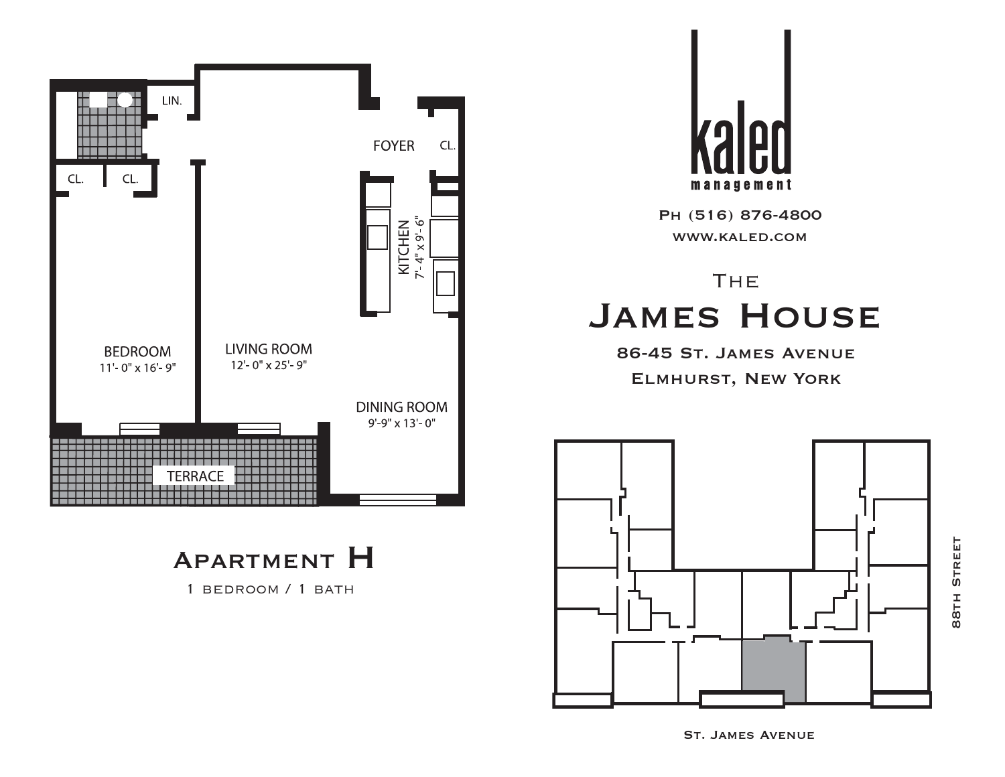

1 bedroom / 1 bath



Ph (516) 876-4800 www.kaled.com

# **THE** James House

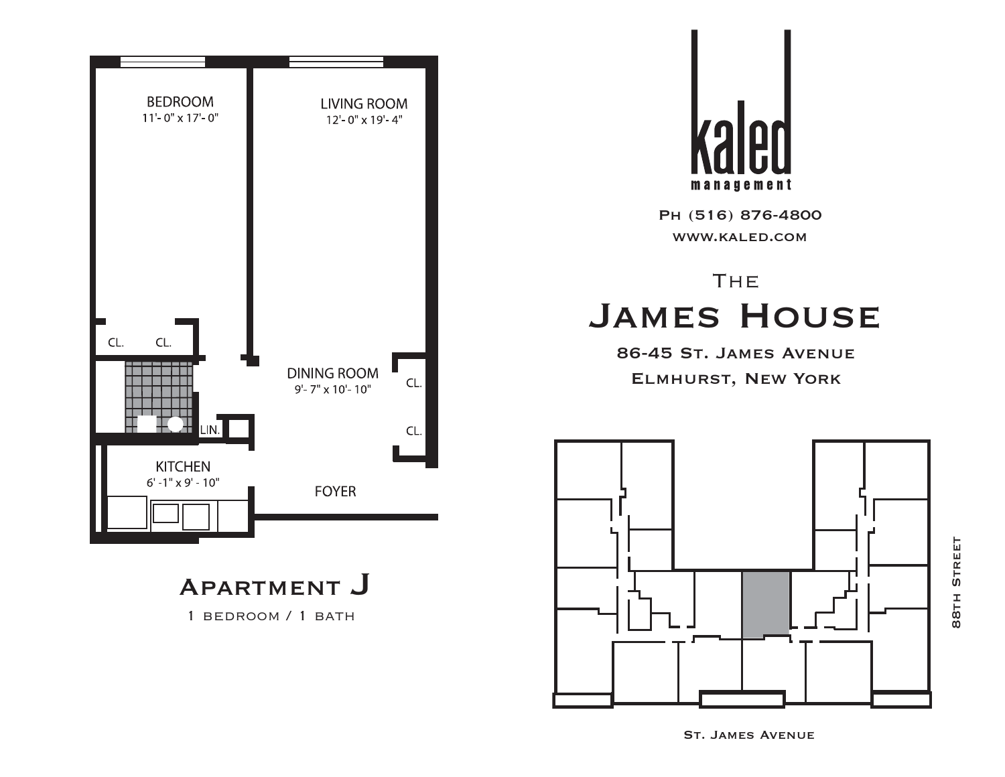

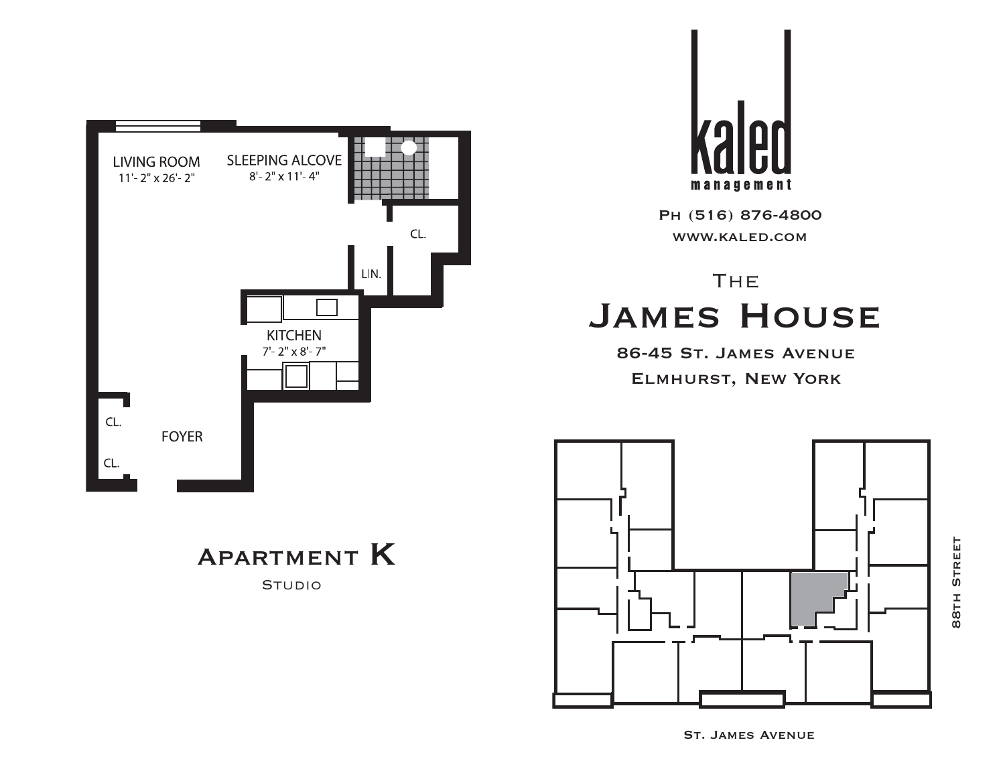

Apartment K

**STUDIO** 



Ph (516) 876-4800 www.kaled.com

# **THE** James House



St. James Avenue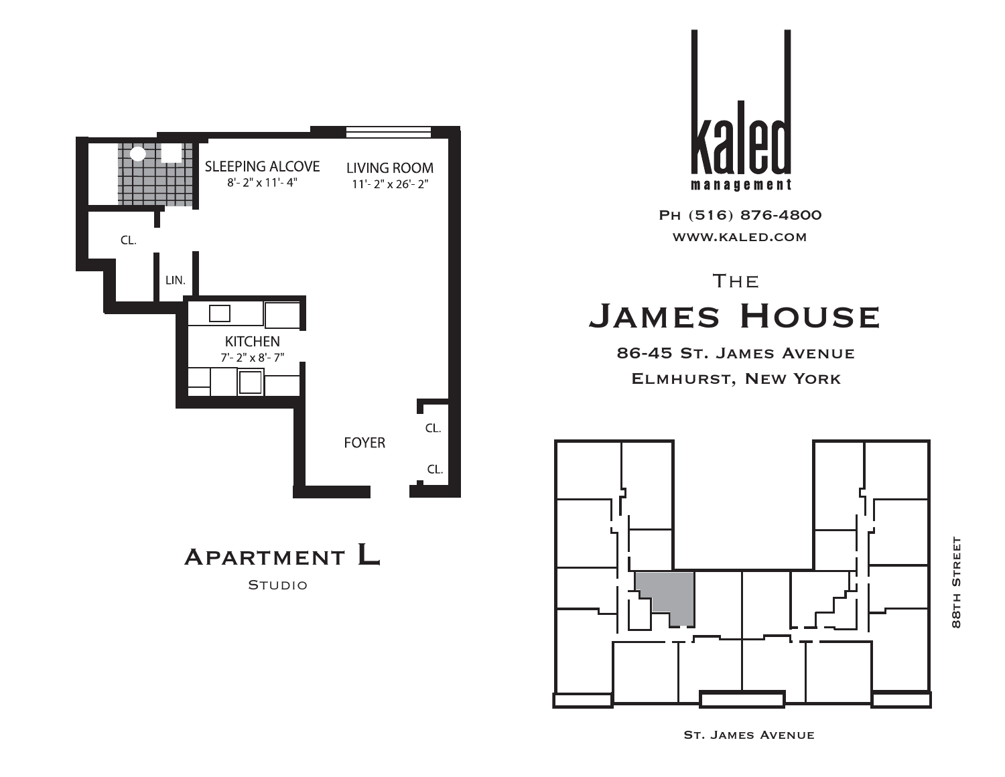

management

Ph (516) 876-4800 www.kaled.com

# **THE** James House

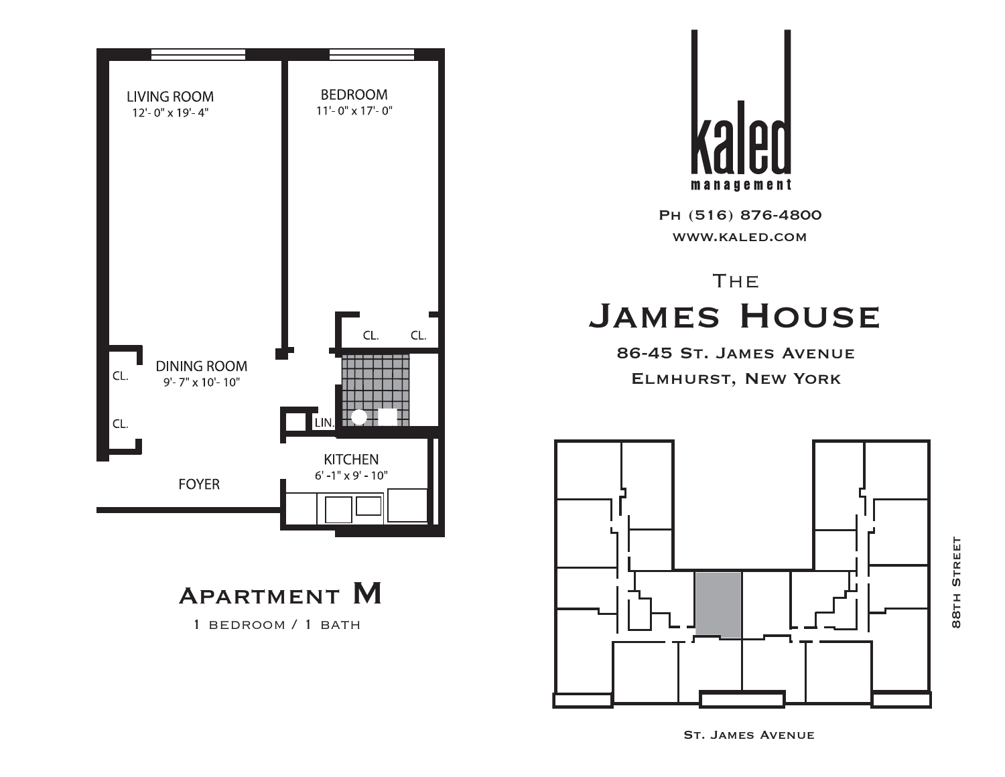



1 bedroom / 1 bath



Ph (516) 876-4800 www.kaled.com

# **THE** James House

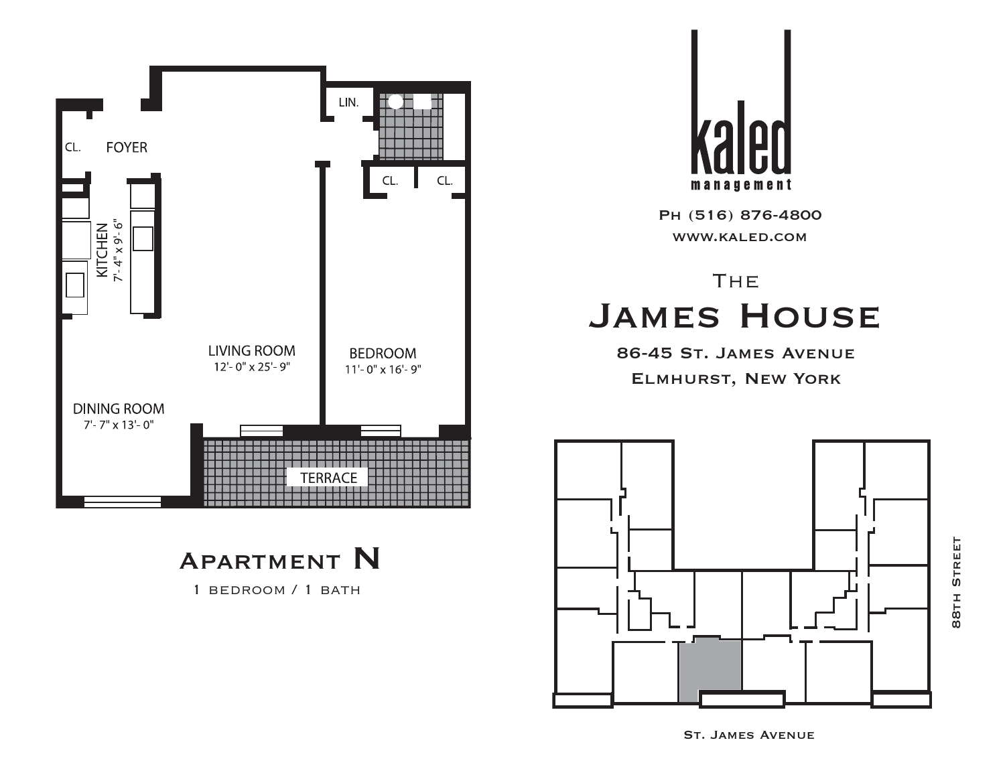

70 management

Ph (516) 876-4800 www.kaled.com

# **THE** James House

86-45 St. James Avenue Elmhurst, New York



Apartment N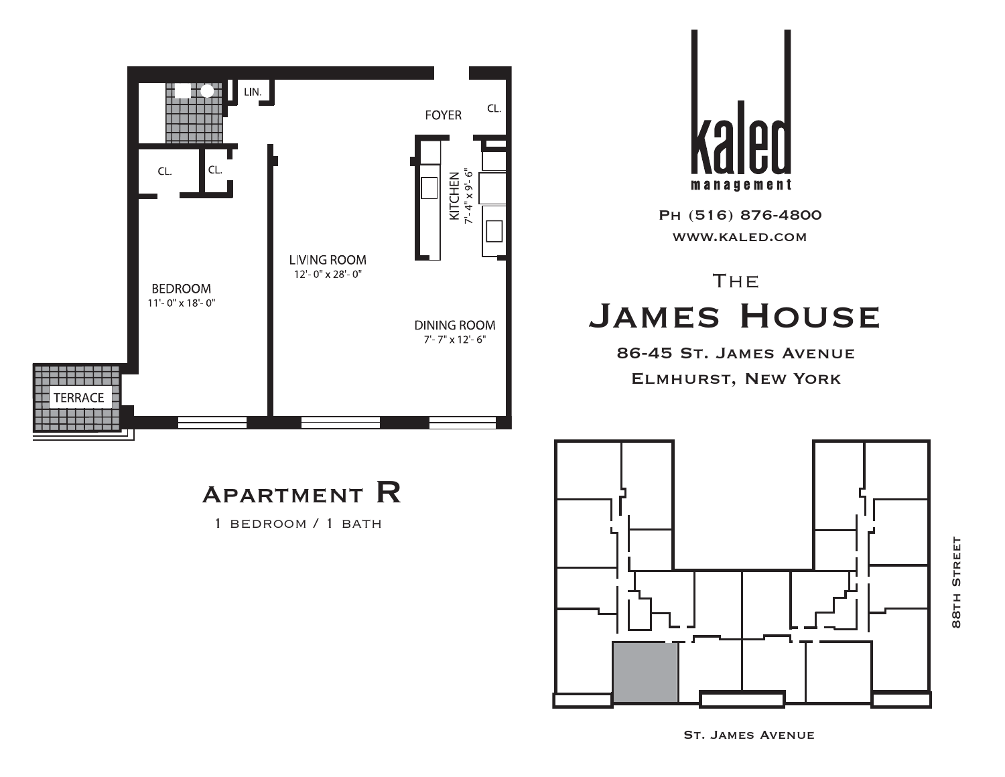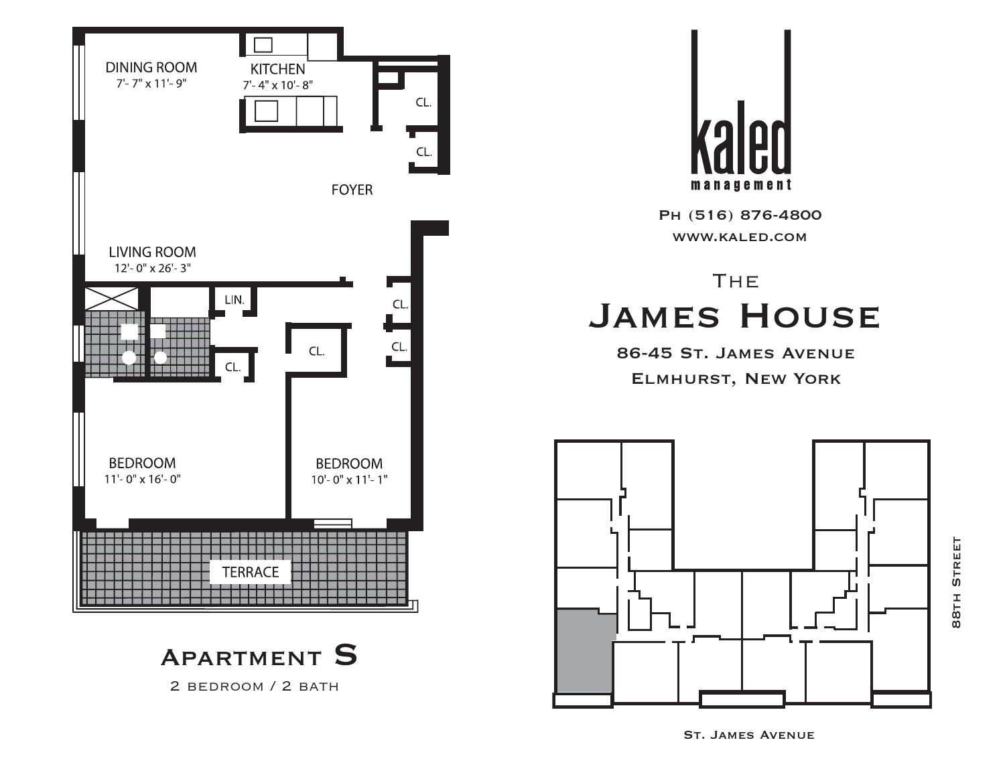



2 bedroom / 2 bath



Ph (516) 876-4800 www.kaled.com

# **THE** James House

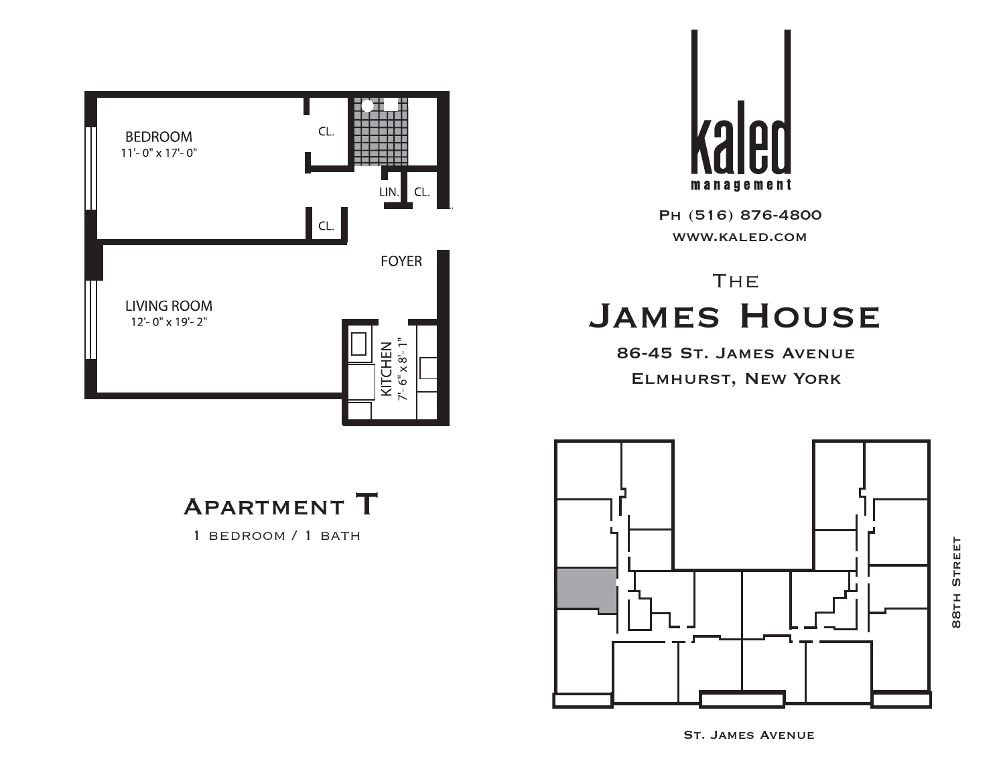



# **THE** James House

86-45 St. James Avenue Elmhurst, New York

Apartment T

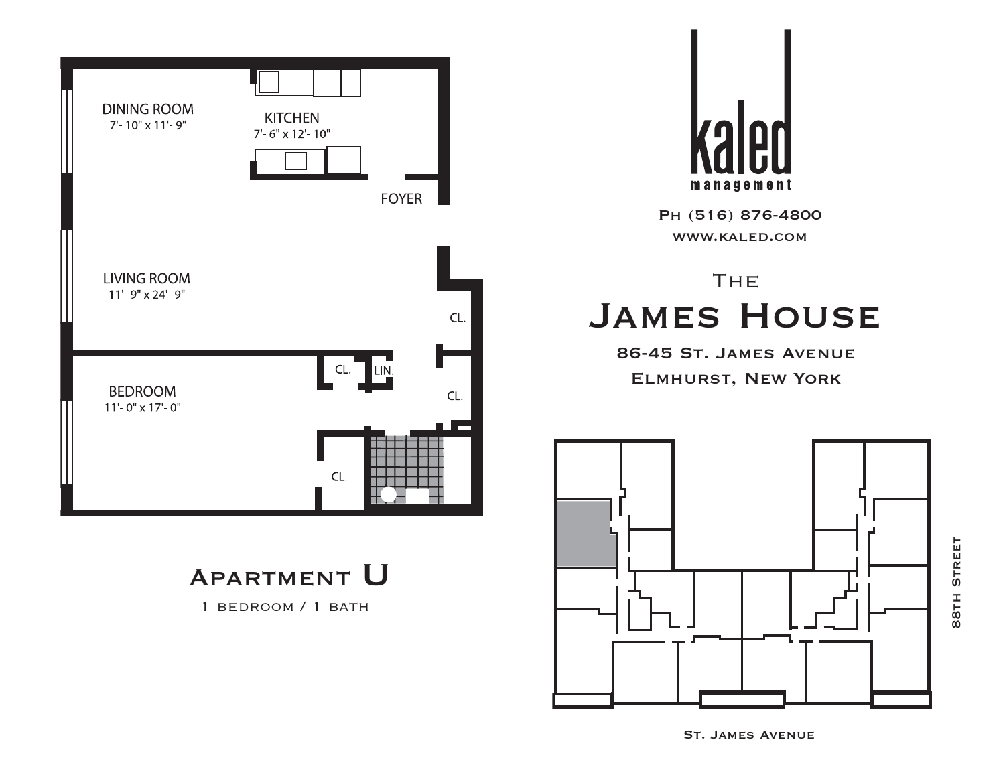



# **THE** James House

86-45 St. James Avenue Elmhurst, New York



**STREET** 88th Street88TH

Apartment U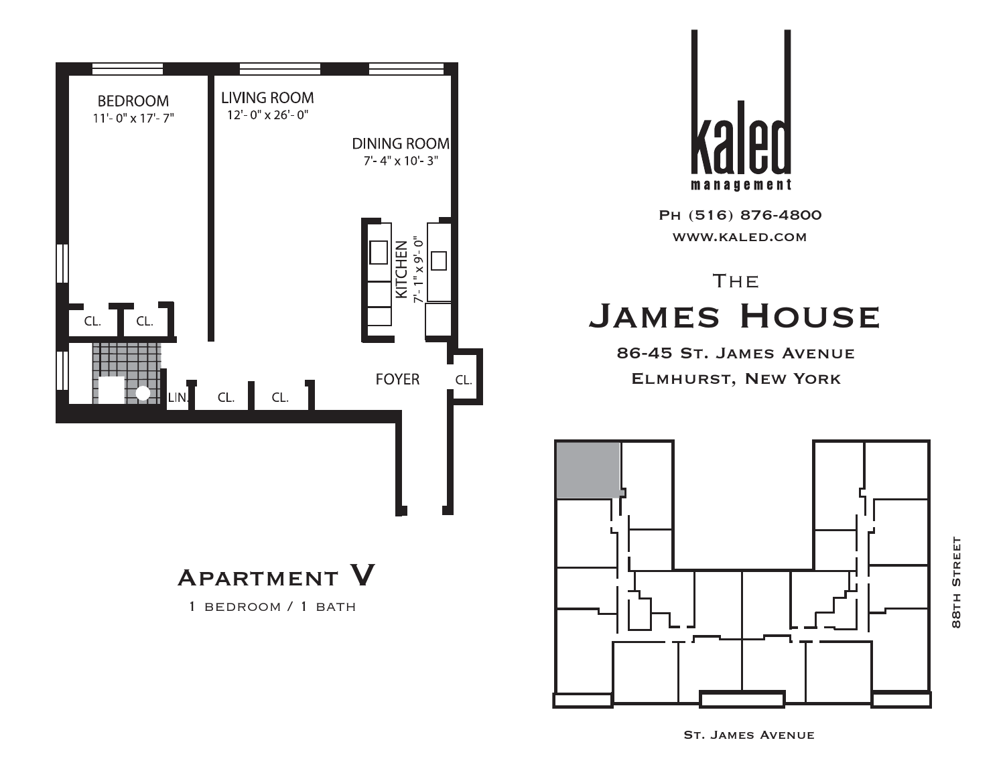



# **THE** James House

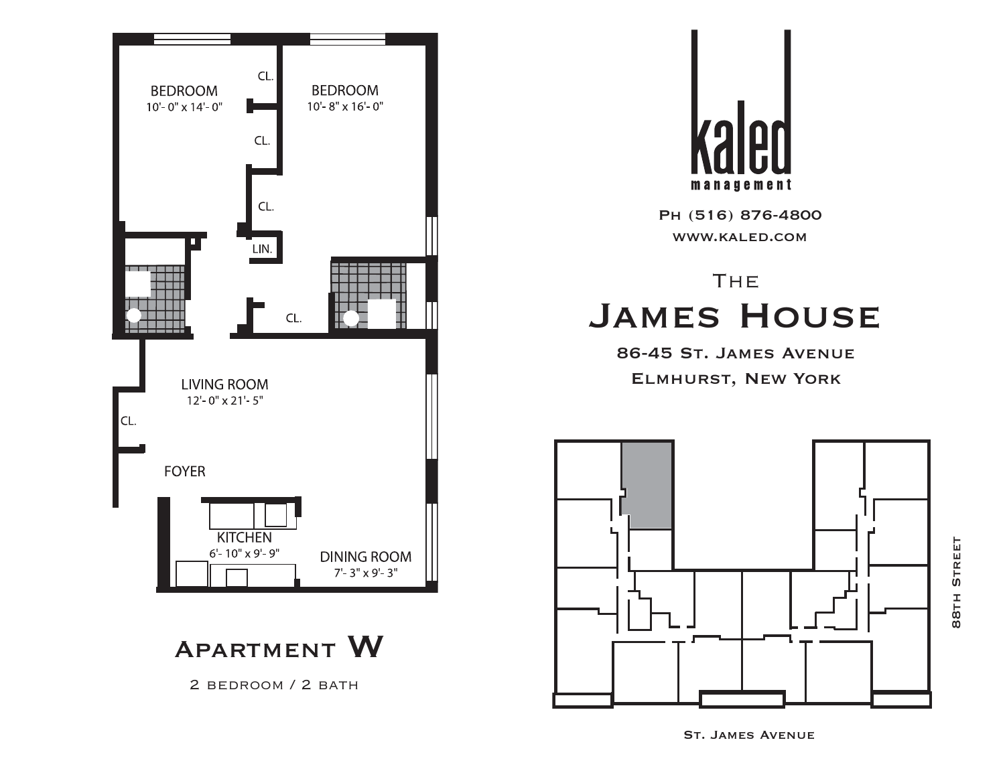



# **THE** James House